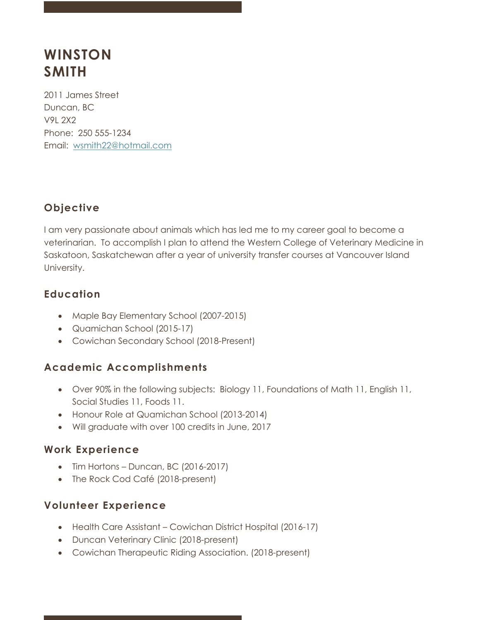# **WINSTON SMITH**

2011 James Street Duncan, BC V9L 2X2 Phone: 250 555-1234 Email: wsmith22@hotmail.com

# **Objective**

I am very passionate about animals which has led me to my career goal to become a veterinarian. To accomplish I plan to attend the Western College of Veterinary Medicine in Saskatoon, Saskatchewan after a year of university transfer courses at Vancouver Island University.

## **Education**

- Maple Bay Elementary School (2007-2015)
- Quamichan School (2015-17)
- Cowichan Secondary School (2018-Present)

## **Academic Accomplishments**

- Over 90% in the following subjects: Biology 11, Foundations of Math 11, English 11, Social Studies 11, Foods 11.
- Honour Role at Quamichan School (2013-2014)
- Will graduate with over 100 credits in June, 2017

## **Work Experience**

- Tim Hortons Duncan, BC (2016-2017)
- The Rock Cod Café (2018-present)

## **Volunteer Experience**

- Health Care Assistant Cowichan District Hospital (2016-17)
- Duncan Veterinary Clinic (2018-present)
- Cowichan Therapeutic Riding Association. (2018-present)